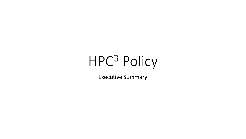# HPC<sup>3</sup> Policy

Executive Summary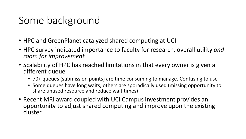#### Some background

- HPC and GreenPlanet catalyzed shared computing at UCI
- HPC survey indicated importance to faculty for research, overall utility *and room for improvement*
- Scalability of HPC has reached limitations in that every owner is given a different queue
	- 70+ queues (submission points) are time consuming to manage. Confusing to use
	- Some queues have long waits, others are sporadically used (missing opportunity to share unused resource and reduce wait times)
- Recent MRI award coupled with UCI Campus investment provides an opportunity to adjust shared computing and improve upon the existing cluster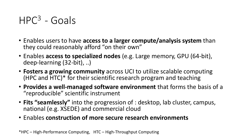# HPC<sup>3</sup> - Goals

- Enables users to have **access to a larger compute/analysis system** than they could reasonably afford "on their own"
- Enables **access to specialized nodes** (e.g. Large memory, GPU (64-bit), deep-learning (32-bit), ..)
- **Fosters a growing community** across UCI to utilize scalable computing (HPC and HTC)\* for their scientific research program and teaching
- **Provides a well-managed software environment** that forms the basis of a "reproducible" scientific instrument
- **Fits "seamlessly"** into the progression of : desktop, lab cluster, campus, national (e.g. XSEDE) and commercial cloud
- Enables **construction of more secure research environments**

\*HPC – High-Performance Computing, HTC – High-Throughput Computing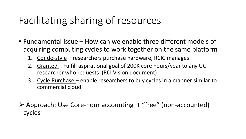### Facilitating sharing of resources

- Fundamental issue How can we enable three different models of acquiring computing cycles to work together on the same platform
	- 1. Condo-style researchers purchase hardware, RCIC manages
	- 2. Granted Fulfill aspirational goal of 200K core hours/year to any UCI researcher who requests (RCI Vision document)
	- 3. Cycle Purchase enable researchers to buy cycles in a manner similar to commercial cloud
- ➢ Approach: Use Core-hour accounting + "free" (non-accounted) cycles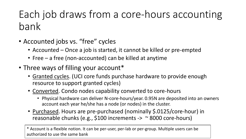# Each job draws from a core-hours accounting bank

- Accounted jobs vs. "free" cycles
	- Accounted Once a job is started, it cannot be killed or pre-empted
	- Free a free (non-accounted) can be killed at anytime
- Three ways of filling your account\*
	- Granted cycles. (UCI core funds purchase hardware to provide enough resource to support granted cycles)
	- Converted. Condo nodes capability converted to core-hours
		- Physical hardware can deliver N-core-hours/year. 0.95N are deposited into an owners account each year he/she has a node (or nodes) in the cluster.
	- Purchased. Hours are pre-purchased (nominally \$.0125/core-hour) in reasonable chunks (e.g.,  $$100$  increments ->  $\sim$  8000 core-hours)

\* Account is a flexible notion. It can be per-user, per-lab or per-group. Multiple users can be authorized to use the same bank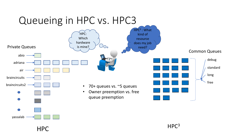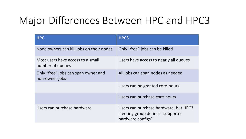#### Major Differences Between HPC and HPC3

| <b>HPC</b>                                            | HPC3                                                                                            |
|-------------------------------------------------------|-------------------------------------------------------------------------------------------------|
| Node owners can kill jobs on their nodes              | Only "free" jobs can be killed                                                                  |
| Most users have access to a small<br>number of queues | Users have access to nearly all queues                                                          |
| Only "free" jobs can span owner and<br>non-owner jobs | All jobs can span nodes as needed                                                               |
|                                                       | Users can be granted core-hours                                                                 |
|                                                       | Users can purchase core-hours                                                                   |
| Users can purchase hardware                           | Users can purchase hardware, but HPC3<br>steering group defines "supported<br>hardware configs" |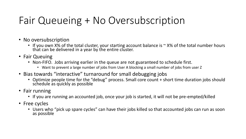### Fair Queueing + No Oversubscription

- No oversubscription
	- If you own X% of the total cluster, your starting account balance is ~ X% of the total number hours that can be delivered in a year by the entire cluster.
- Fair Queuing
	- Non-FIFO. Jobs arriving earlier in the queue are not guaranteed to schedule first.
		- Want to prevent a large number of jobs from User A blocking a small number of jobs from user Z
- Bias towards "interactive" turnaround for small debugging jobs
	- Optimize people time for the "debug" process. Small core count + short time duration jobs should schedule as quickly as possible
- Fair running
	- If you are running an accounted job, once your job is started, it will not be pre-empted/killed
- Free cycles
	- Users who "pick up spare cycles" can have their jobs killed so that accounted jobs can run as soon as possible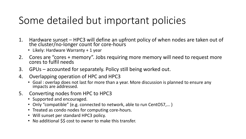#### Some detailed but important policies

- 1. Hardware sunset HPC3 will define an upfront policy of when nodes are taken out of the cluster/no-longer count for core-hours
	- Likely: Hardware Warranty + 1 year
- 2. Cores are "cores + memory". Jobs requiring more memory will need to request more cores to fulfil needs
- 3. GPUs accounted for separately. Policy still being worked out.
- 4. Overlapping operation of HPC and HPC3
	- Goal : overlap does not last for more than a year. More discussion is planned to ensure any impacts are addressed.
- 5. Converting nodes from HPC to HPC3
	- Supported and encouraged.
	- Only "compatible" (e.g. connected to network, able to run CentOS7,… )
	- Treated as condo nodes for computing core-hours.
	- Will sunset per standard HPC3 policy.
	- No additional \$\$ cost to owner to make this transfer.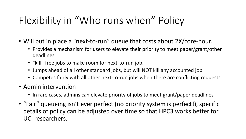# Flexibility in "Who runs when" Policy

- Will put in place a "next-to-run" queue that costs about 2X/core-hour.
	- Provides a mechanism for users to elevate their priority to meet paper/grant/other deadlines
	- "kill" free jobs to make room for next-to-run job.
	- Jumps ahead of all other standard jobs, but will NOT kill any accounted job
	- Competes fairly with all other next-to-run jobs when there are conflicting requests
- Admin intervention
	- In rare cases, admins can elevate priority of jobs to meet grant/paper deadlines
- "Fair" queueing isn't ever perfect (no priority system is perfect!), specific details of policy can be adjusted over time so that HPC3 works better for UCI researchers.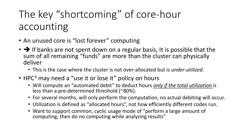# The key "shortcoming" of core-hour accounting

- An unused core is "lost forever" computing
- $\rightarrow$  If banks are not spent down on a regular basis, It is possible that the sum of all remaining "funds" are more than the cluster can physically deliver
	- This is the case where the cluster is not over-allocated but is *under-utilized*.
- HPC<sup>3</sup> may need a "use it or lose it" policy on hours
	- Will compute an "automated debit" to deduct hours *only if the total utilization* is less than a pre-determined threshold (~80%).
	- For several months, will only perform the computation, no actual debiting will occur.
	- Utilization is defined as "allocated hours", not how efficiently different codes run.
	- Want to support common, cyclic usage mode of "perform a large amount of computing, then do no computing while analyzing results"